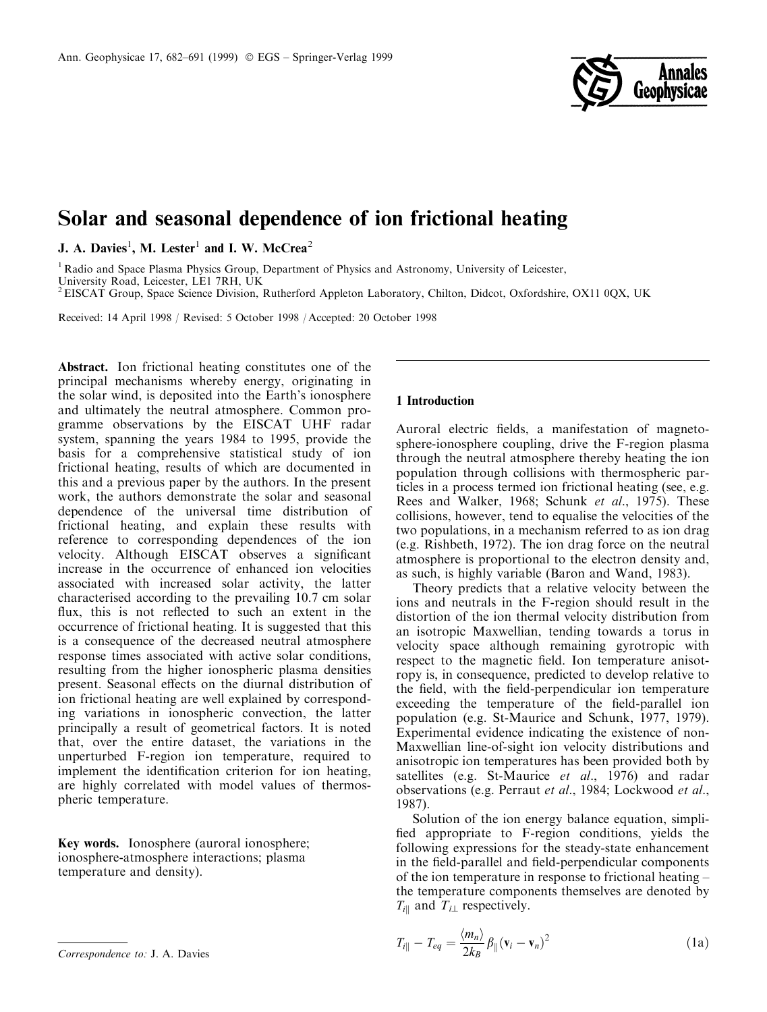

# Solar and seasonal dependence of ion frictional heating

J. A. Davies<sup>1</sup>, M. Lester<sup>1</sup> and I. W. McCrea<sup>2</sup>

<sup>1</sup> Radio and Space Plasma Physics Group, Department of Physics and Astronomy, University of Leicester, University Road, Leicester, LE1 7RH, UK

2EISCAT Group, Space Science Division, Rutherford Appleton Laboratory, Chilton, Didcot, Oxfordshire, OX11 0QX, UK

Received: 14 April 1998 / Revised: 5 October 1998 / Accepted: 20 October 1998

Abstract. Ion frictional heating constitutes one of the principal mechanisms whereby energy, originating in the solar wind, is deposited into the Earth's ionosphere and ultimately the neutral atmosphere. Common programme observations by the EISCAT UHF radar system, spanning the years 1984 to 1995, provide the basis for a comprehensive statistical study of ion frictional heating, results of which are documented in this and a previous paper by the authors. In the present work, the authors demonstrate the solar and seasonal dependence of the universal time distribution of frictional heating, and explain these results with reference to corresponding dependences of the ion velocity. Although EISCAT observes a significant increase in the occurrence of enhanced ion velocities associated with increased solar activity, the latter characterised according to the prevailing 10.7 cm solar flux, this is not reflected to such an extent in the occurrence of frictional heating. It is suggested that this is a consequence of the decreased neutral atmosphere response times associated with active solar conditions, resulting from the higher ionospheric plasma densities present. Seasonal effects on the diurnal distribution of ion frictional heating are well explained by corresponding variations in ionospheric convection, the latter principally a result of geometrical factors. It is noted that, over the entire dataset, the variations in the unperturbed F-region ion temperature, required to implement the identification criterion for ion heating, are highly correlated with model values of thermospheric temperature.

Key words. Ionosphere (auroral ionosphere; ionosphere-atmosphere interactions; plasma temperature and density).

## 1 Introduction

Auroral electric fields, a manifestation of magnetosphere-ionosphere coupling, drive the F-region plasma through the neutral atmosphere thereby heating the ion population through collisions with thermospheric particles in a process termed ion frictional heating (see, e.g. Rees and Walker, 1968; Schunk et al., 1975). These collisions, however, tend to equalise the velocities of the two populations, in a mechanism referred to as ion drag (e.g. Rishbeth, 1972). The ion drag force on the neutral atmosphere is proportional to the electron density and, as such, is highly variable (Baron and Wand, 1983).

Theory predicts that a relative velocity between the ions and neutrals in the F-region should result in the distortion of the ion thermal velocity distribution from an isotropic Maxwellian, tending towards a torus in velocity space although remaining gyrotropic with respect to the magnetic field. Ion temperature anisotropy is, in consequence, predicted to develop relative to the field, with the field-perpendicular ion temperature exceeding the temperature of the field-parallel ion population (e.g. St-Maurice and Schunk, 1977, 1979). Experimental evidence indicating the existence of non-Maxwellian line-of-sight ion velocity distributions and anisotropic ion temperatures has been provided both by satellites (e.g. St-Maurice *et al.*, 1976) and radar observations (e.g. Perraut et al., 1984; Lockwood et al., 1987).

Solution of the ion energy balance equation, simpli fied appropriate to F-region conditions, yields the following expressions for the steady-state enhancement in the field-parallel and field-perpendicular components of the ion temperature in response to frictional heating  $-\frac{1}{2}$ the temperature components themselves are denoted by  $T_{i\parallel}$  and  $T_{i\perp}$  respectively.

$$
T_{i\parallel} - T_{eq} = \frac{\langle m_n \rangle}{2k_B} \beta_{\parallel} (\mathbf{v}_i - \mathbf{v}_n)^2
$$
 (1a)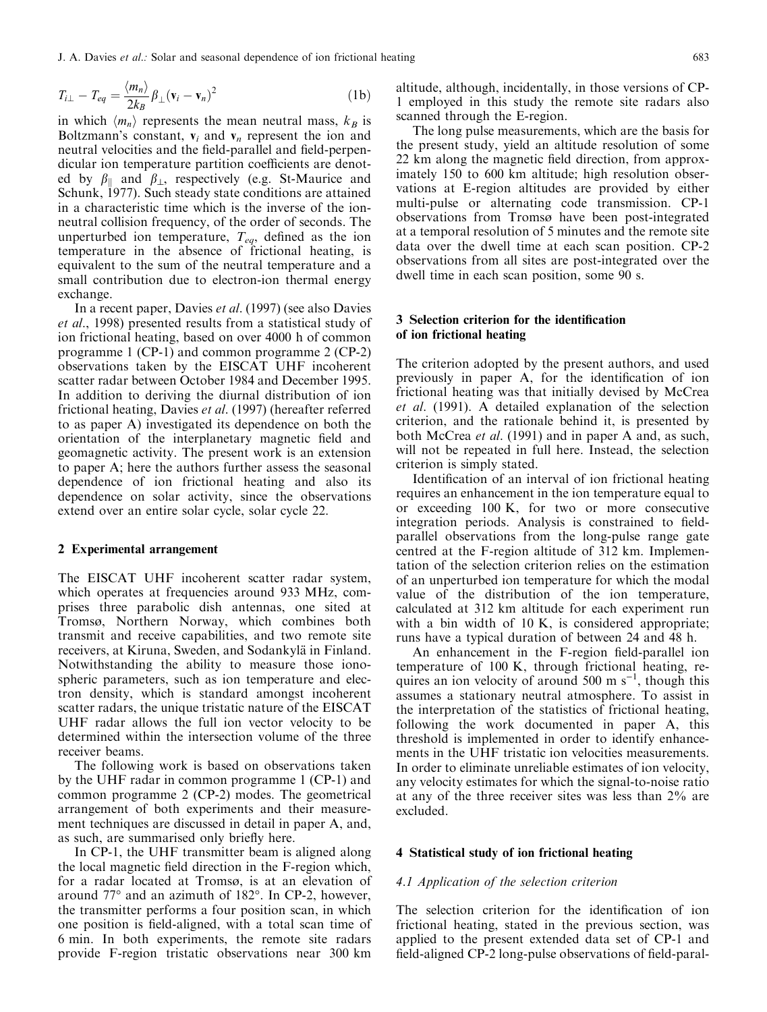J. A. Davies et al.: Solar and seasonal dependence of ion frictional heating 683

$$
T_{i\perp} - T_{eq} = \frac{\langle m_n \rangle}{2k_B} \beta_\perp (\mathbf{v}_i - \mathbf{v}_n)^2
$$
 (1b)

in which  $\langle m_n \rangle$  represents the mean neutral mass,  $k_B$  is Boltzmann's constant,  $v_i$  and  $v_n$  represent the ion and neutral velocities and the field-parallel and field-perpendicular ion temperature partition coefficients are denoted by  $\beta_{\parallel}$  and  $\beta_{\perp}$ , respectively (e.g. St-Maurice and Schunk, 1977). Such steady state conditions are attained in a characteristic time which is the inverse of the ionneutral collision frequency, of the order of seconds. The unperturbed ion temperature,  $T_{eq}$ , defined as the ion temperature in the absence of frictional heating, is equivalent to the sum of the neutral temperature and a small contribution due to electron-ion thermal energy exchange.

In a recent paper, Davies et al. (1997) (see also Davies et al., 1998) presented results from a statistical study of ion frictional heating, based on over 4000 h of common programme 1 (CP-1) and common programme 2 (CP-2) observations taken by the EISCAT UHF incoherent scatter radar between October 1984 and December 1995. In addition to deriving the diurnal distribution of ion frictional heating, Davies et al. (1997) (hereafter referred to as paper A) investigated its dependence on both the orientation of the interplanetary magnetic field and geomagnetic activity. The present work is an extension to paper A; here the authors further assess the seasonal dependence of ion frictional heating and also its dependence on solar activity, since the observations extend over an entire solar cycle, solar cycle 22.

## 2 Experimental arrangement

The EISCAT UHF incoherent scatter radar system, which operates at frequencies around 933 MHz, comprises three parabolic dish antennas, one sited at Tromsø, Northern Norway, which combines both transmit and receive capabilities, and two remote site receivers, at Kiruna, Sweden, and Sodankylä in Finland. Notwithstanding the ability to measure those ionospheric parameters, such as ion temperature and electron density, which is standard amongst incoherent scatter radars, the unique tristatic nature of the EISCAT UHF radar allows the full ion vector velocity to be determined within the intersection volume of the three receiver beams.

The following work is based on observations taken by the UHF radar in common programme 1 (CP-1) and common programme 2 (CP-2) modes. The geometrical arrangement of both experiments and their measurement techniques are discussed in detail in paper A, and, as such, are summarised only briefly here.

In CP-1, the UHF transmitter beam is aligned along the local magnetic field direction in the F-region which, for a radar located at Tromsø, is at an elevation of around 77° and an azimuth of 182°. In CP-2, however, the transmitter performs a four position scan, in which one position is field-aligned, with a total scan time of 6 min. In both experiments, the remote site radars provide F-region tristatic observations near 300 km

altitude, although, incidentally, in those versions of CP-1 employed in this study the remote site radars also scanned through the E-region.

The long pulse measurements, which are the basis for the present study, yield an altitude resolution of some 22 km along the magnetic field direction, from approximately 150 to 600 km altitude; high resolution observations at E-region altitudes are provided by either multi-pulse or alternating code transmission. CP-1 observations from Tromsø have been post-integrated at a temporal resolution of 5 minutes and the remote site data over the dwell time at each scan position. CP-2 observations from all sites are post-integrated over the dwell time in each scan position, some 90 s.

# 3 Selection criterion for the identification of ion frictional heating

The criterion adopted by the present authors, and used previously in paper A, for the identification of ion frictional heating was that initially devised by McCrea et al. (1991). A detailed explanation of the selection criterion, and the rationale behind it, is presented by both McCrea et al. (1991) and in paper A and, as such, will not be repeated in full here. Instead, the selection criterion is simply stated.

Identification of an interval of ion frictional heating requires an enhancement in the ion temperature equal to or exceeding 100 K, for two or more consecutive integration periods. Analysis is constrained to fieldparallel observations from the long-pulse range gate centred at the F-region altitude of 312 km. Implementation of the selection criterion relies on the estimation of an unperturbed ion temperature for which the modal value of the distribution of the ion temperature, calculated at 312 km altitude for each experiment run with a bin width of 10 K, is considered appropriate; runs have a typical duration of between 24 and 48 h.

An enhancement in the F-region field-parallel ion temperature of 100 K, through frictional heating, requires an ion velocity of around 500 m  $s^{-1}$ , though this assumes a stationary neutral atmosphere. To assist in the interpretation of the statistics of frictional heating, following the work documented in paper A, this threshold is implemented in order to identify enhancements in the UHF tristatic ion velocities measurements. In order to eliminate unreliable estimates of ion velocity, any velocity estimates for which the signal-to-noise ratio at any of the three receiver sites was less than 2% are excluded.

## 4 Statistical study of ion frictional heating

#### 4.1 Application of the selection criterion

The selection criterion for the identification of ion frictional heating, stated in the previous section, was applied to the present extended data set of CP-1 and field-aligned CP-2 long-pulse observations of field-paral-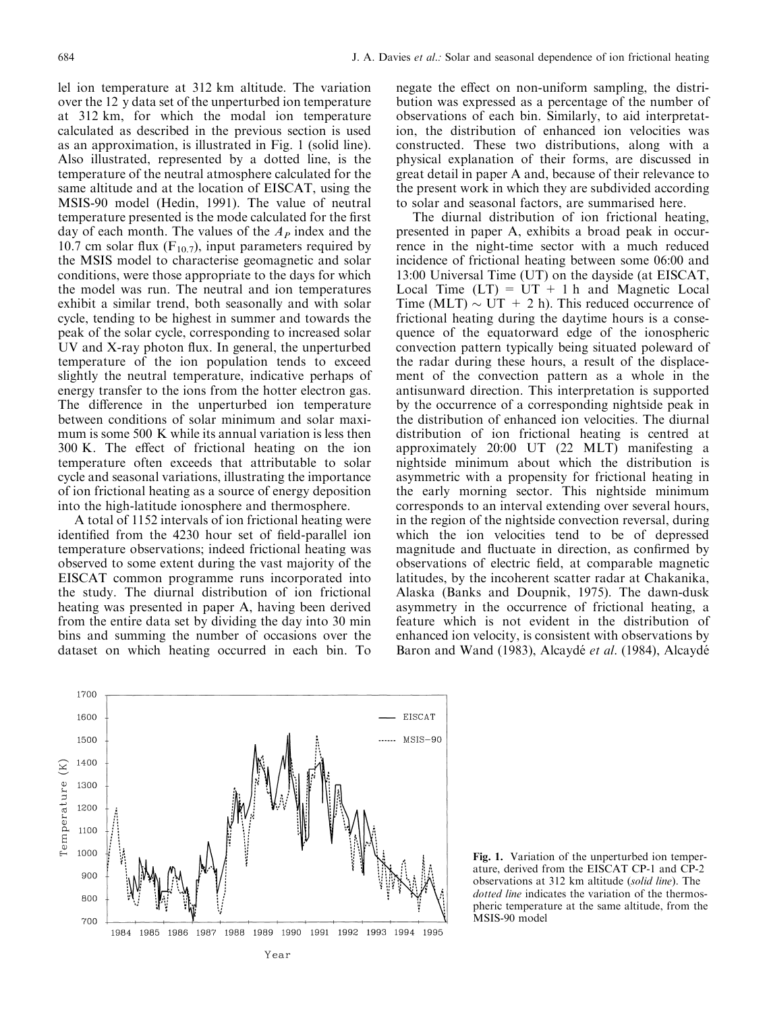lel ion temperature at 312 km altitude. The variation over the 12 y data set of the unperturbed ion temperature at 312 km, for which the modal ion temperature calculated as described in the previous section is used as an approximation, is illustrated in Fig. 1 (solid line). Also illustrated, represented by a dotted line, is the temperature of the neutral atmosphere calculated for the same altitude and at the location of EISCAT, using the MSIS-90 model (Hedin, 1991). The value of neutral temperature presented is the mode calculated for the first day of each month. The values of the  $A_P$  index and the 10.7 cm solar flux  $(F_{10.7})$ , input parameters required by the MSIS model to characterise geomagnetic and solar conditions, were those appropriate to the days for which the model was run. The neutral and ion temperatures exhibit a similar trend, both seasonally and with solar cycle, tending to be highest in summer and towards the peak of the solar cycle, corresponding to increased solar  $UV$  and  $X$ -ray photon flux. In general, the unperturbed temperature of the ion population tends to exceed slightly the neutral temperature, indicative perhaps of energy transfer to the ions from the hotter electron gas. The difference in the unperturbed ion temperature between conditions of solar minimum and solar maximum is some 500 K while its annual variation is less then  $300$  K. The effect of frictional heating on the ion temperature often exceeds that attributable to solar cycle and seasonal variations, illustrating the importance of ion frictional heating as a source of energy deposition into the high-latitude ionosphere and thermosphere.

A total of 1152 intervals of ion frictional heating were identified from the 4230 hour set of field-parallel ion temperature observations; indeed frictional heating was observed to some extent during the vast majority of the EISCAT common programme runs incorporated into the study. The diurnal distribution of ion frictional heating was presented in paper A, having been derived from the entire data set by dividing the day into 30 min bins and summing the number of occasions over the dataset on which heating occurred in each bin. To

negate the effect on non-uniform sampling, the distribution was expressed as a percentage of the number of observations of each bin. Similarly, to aid interpretation, the distribution of enhanced ion velocities was constructed. These two distributions, along with a physical explanation of their forms, are discussed in great detail in paper A and, because of their relevance to the present work in which they are subdivided according to solar and seasonal factors, are summarised here.

The diurnal distribution of ion frictional heating, presented in paper A, exhibits a broad peak in occurrence in the night-time sector with a much reduced incidence of frictional heating between some 06:00 and 13:00 Universal Time (UT) on the dayside (at EISCAT, Local Time  $(LT) = UT + 1 h$  and Magnetic Local Time (MLT)  $\sim$  UT + 2 h). This reduced occurrence of frictional heating during the daytime hours is a consequence of the equatorward edge of the ionospheric convection pattern typically being situated poleward of the radar during these hours, a result of the displacement of the convection pattern as a whole in the antisunward direction. This interpretation is supported by the occurrence of a corresponding nightside peak in the distribution of enhanced ion velocities. The diurnal distribution of ion frictional heating is centred at approximately 20:00 UT (22 MLT) manifesting a nightside minimum about which the distribution is asymmetric with a propensity for frictional heating in the early morning sector. This nightside minimum corresponds to an interval extending over several hours, in the region of the nightside convection reversal, during which the ion velocities tend to be of depressed magnitude and fluctuate in direction, as confirmed by observations of electric field, at comparable magnetic latitudes, by the incoherent scatter radar at Chakanika, Alaska (Banks and Doupnik, 1975). The dawn-dusk asymmetry in the occurrence of frictional heating, a feature which is not evident in the distribution of enhanced ion velocity, is consistent with observations by Baron and Wand (1983), Alcaydé *et al.* (1984), Alcaydé



Fig. 1. Variation of the unperturbed ion temperature, derived from the EISCAT CP-1 and CP-2 observations at 312 km altitude (solid line). The dotted line indicates the variation of the thermospheric temperature at the same altitude, from the MSIS-90 model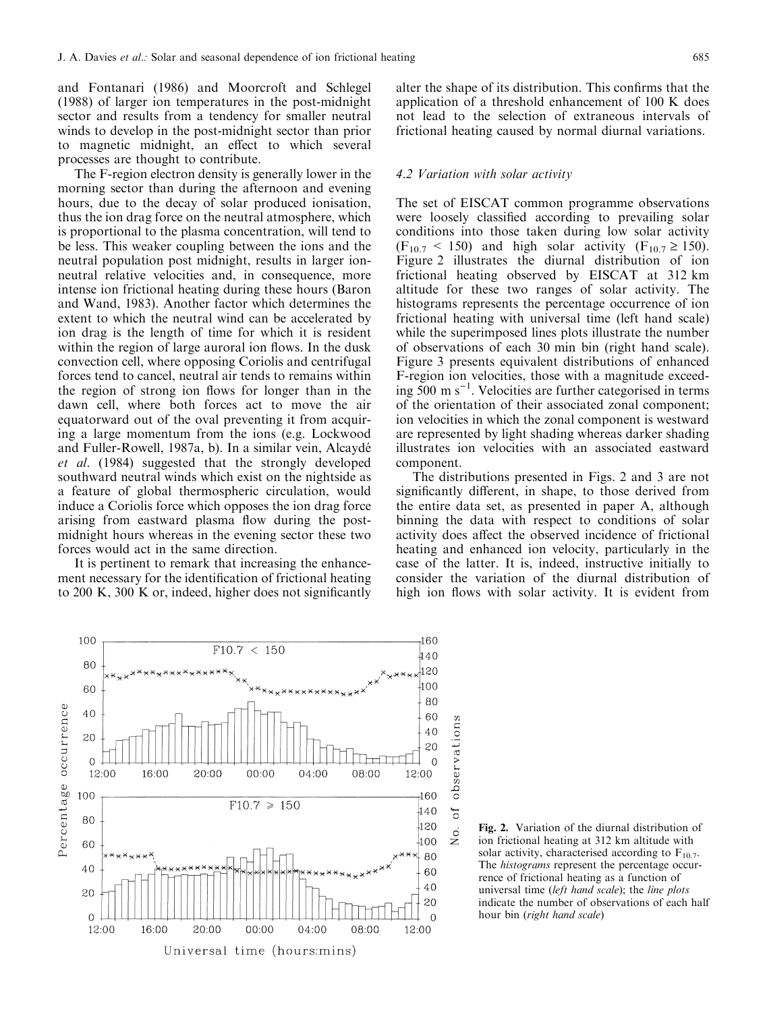and Fontanari (1986) and Moorcroft and Schlegel (1988) of larger ion temperatures in the post-midnight sector and results from a tendency for smaller neutral winds to develop in the post-midnight sector than prior to magnetic midnight, an effect to which several processes are thought to contribute.

The F-region electron density is generally lower in the morning sector than during the afternoon and evening hours, due to the decay of solar produced ionisation, thus the ion drag force on the neutral atmosphere, which is proportional to the plasma concentration, will tend to be less. This weaker coupling between the ions and the neutral population post midnight, results in larger ionneutral relative velocities and, in consequence, more intense ion frictional heating during these hours (Baron and Wand, 1983). Another factor which determines the extent to which the neutral wind can be accelerated by ion drag is the length of time for which it is resident within the region of large auroral ion flows. In the dusk convection cell, where opposing Coriolis and centrifugal forces tend to cancel, neutral air tends to remains within the region of strong ion flows for longer than in the dawn cell, where both forces act to move the air equatorward out of the oval preventing it from acquiring a large momentum from the ions (e.g. Lockwood and Fuller-Rowell, 1987a, b). In a similar vein, Alcaydé et al. (1984) suggested that the strongly developed southward neutral winds which exist on the nightside as a feature of global thermospheric circulation, would induce a Coriolis force which opposes the ion drag force arising from eastward plasma flow during the postmidnight hours whereas in the evening sector these two forces would act in the same direction.

It is pertinent to remark that increasing the enhancement necessary for the identification of frictional heating to  $200 \text{ K}$ ,  $300 \text{ K}$  or, indeed, higher does not significantly alter the shape of its distribution. This confirms that the application of a threshold enhancement of 100 K does not lead to the selection of extraneous intervals of frictional heating caused by normal diurnal variations.

#### 4.2 Variation with solar activity

The set of EISCAT common programme observations were loosely classified according to prevailing solar conditions into those taken during low solar activity  $(F_{10.7}$  < 150) and high solar activity  $(F_{10.7} \ge 150)$ . Figure 2 illustrates the diurnal distribution of ion frictional heating observed by EISCAT at 312 km altitude for these two ranges of solar activity. The histograms represents the percentage occurrence of ion frictional heating with universal time (left hand scale) while the superimposed lines plots illustrate the number of observations of each 30 min bin (right hand scale). Figure 3 presents equivalent distributions of enhanced F-region ion velocities, those with a magnitude exceeding  $500 \text{ m s}^{-1}$ . Velocities are further categorised in terms of the orientation of their associated zonal component; ion velocities in which the zonal component is westward are represented by light shading whereas darker shading illustrates ion velocities with an associated eastward component.

The distributions presented in Figs. 2 and 3 are not significantly different, in shape, to those derived from the entire data set, as presented in paper A, although binning the data with respect to conditions of solar activity does affect the observed incidence of frictional heating and enhanced ion velocity, particularly in the case of the latter. It is, indeed, instructive initially to consider the variation of the diurnal distribution of high ion flows with solar activity. It is evident from



Fig. 2. Variation of the diurnal distribution of ion frictional heating at 312 km altitude with solar activity, characterised according to  $F_{10.7}$ . The *histograms* represent the percentage occurrence of frictional heating as a function of universal time (left hand scale); the line plots indicate the number of observations of each half hour bin (right hand scale)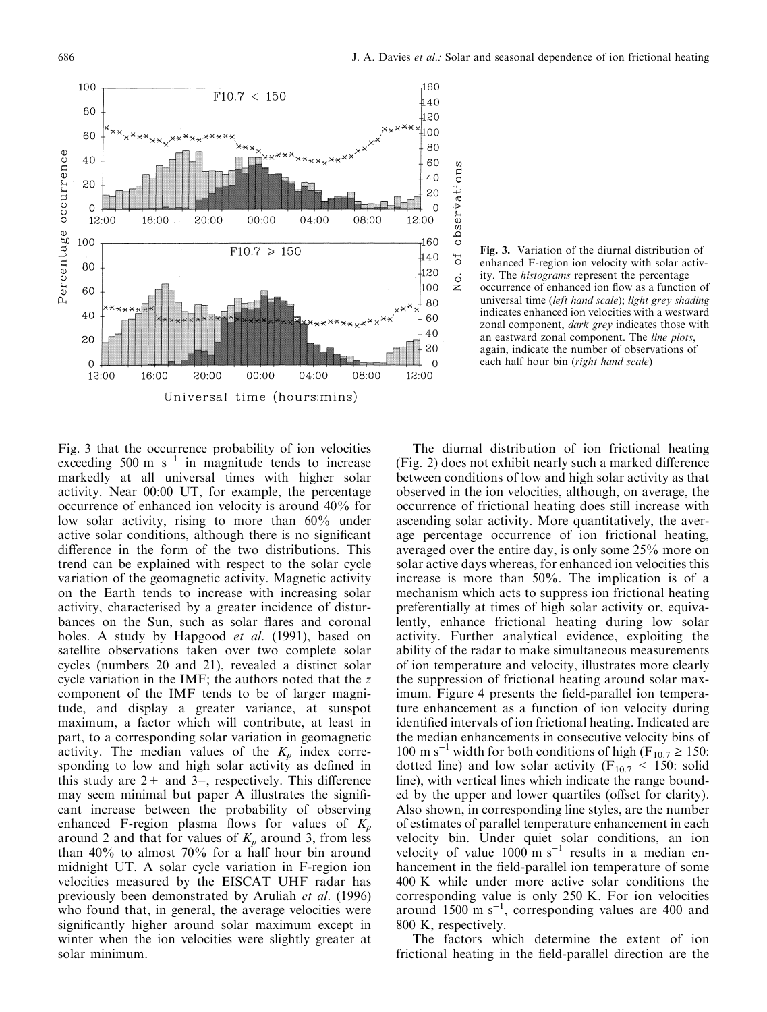

Fig. 3. Variation of the diurnal distribution of enhanced F-region ion velocity with solar activity. The histograms represent the percentage occurrence of enhanced ion flow as a function of universal time (left hand scale); light grey shading indicates enhanced ion velocities with a westward zonal component, dark grey indicates those with an eastward zonal component. The line plots, again, indicate the number of observations of each half hour bin (right hand scale)

Fig. 3 that the occurrence probability of ion velocities exceeding 500 m  $s^{-1}$  in magnitude tends to increase markedly at all universal times with higher solar activity. Near 00:00 UT, for example, the percentage occurrence of enhanced ion velocity is around 40% for low solar activity, rising to more than 60% under active solar conditions, although there is no significant difference in the form of the two distributions. This trend can be explained with respect to the solar cycle variation of the geomagnetic activity. Magnetic activity on the Earth tends to increase with increasing solar activity, characterised by a greater incidence of disturbances on the Sun, such as solar flares and coronal holes. A study by Hapgood *et al.* (1991), based on satellite observations taken over two complete solar cycles (numbers 20 and 21), revealed a distinct solar cycle variation in the IMF; the authors noted that the z component of the IMF tends to be of larger magnitude, and display a greater variance, at sunspot maximum, a factor which will contribute, at least in part, to a corresponding solar variation in geomagnetic activity. The median values of the  $K_p$  index corresponding to low and high solar activity as defined in this study are  $2+$  and  $3-$ , respectively. This difference may seem minimal but paper A illustrates the significant increase between the probability of observing enhanced F-region plasma flows for values of  $K_p$ around 2 and that for values of  $K_p$  around 3, from less than 40% to almost 70% for a half hour bin around midnight UT. A solar cycle variation in F-region ion velocities measured by the EISCAT UHF radar has previously been demonstrated by Aruliah et al. (1996) who found that, in general, the average velocities were significantly higher around solar maximum except in winter when the ion velocities were slightly greater at solar minimum.

The diurnal distribution of ion frictional heating (Fig. 2) does not exhibit nearly such a marked difference between conditions of low and high solar activity as that observed in the ion velocities, although, on average, the occurrence of frictional heating does still increase with ascending solar activity. More quantitatively, the average percentage occurrence of ion frictional heating, averaged over the entire day, is only some 25% more on solar active days whereas, for enhanced ion velocities this increase is more than 50%. The implication is of a mechanism which acts to suppress ion frictional heating preferentially at times of high solar activity or, equivalently, enhance frictional heating during low solar activity. Further analytical evidence, exploiting the ability of the radar to make simultaneous measurements of ion temperature and velocity, illustrates more clearly the suppression of frictional heating around solar maximum. Figure 4 presents the field-parallel ion temperature enhancement as a function of ion velocity during identified intervals of ion frictional heating. Indicated are the median enhancements in consecutive velocity bins of 100 m s<sup>-1</sup> width for both conditions of high (F<sub>10.7</sub>  $\geq$  150: dotted line) and low solar activity ( $F_{10.7}$  < 150: solid line), with vertical lines which indicate the range bounded by the upper and lower quartiles (offset for clarity). Also shown, in corresponding line styles, are the number of estimates of parallel temperature enhancement in each velocity bin. Under quiet solar conditions, an ion velocity of value 1000 m  $s^{-1}$  results in a median enhancement in the field-parallel ion temperature of some 400 K while under more active solar conditions the corresponding value is only 250 K. For ion velocities around 1500 m  $s^{-1}$ , corresponding values are 400 and 800 K, respectively.

The factors which determine the extent of ion frictional heating in the field-parallel direction are the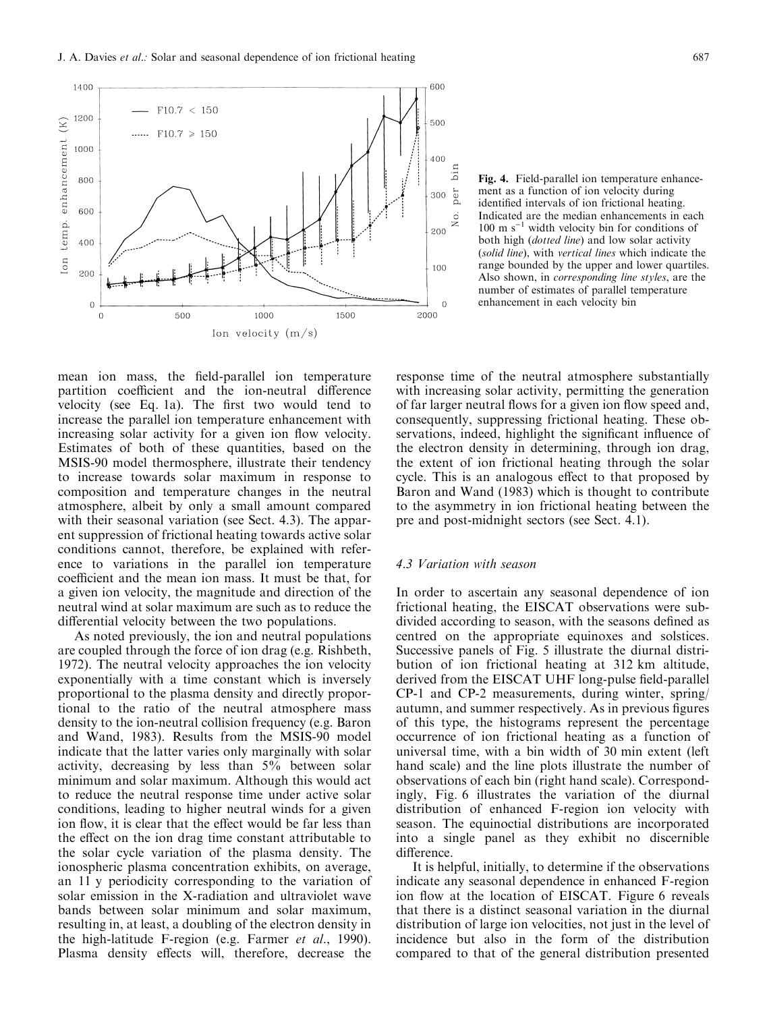mean ion mass, the field-parallel ion temperature partition coefficient and the ion-neutral difference velocity (see Eq. 1a). The first two would tend to increase the parallel ion temperature enhancement with increasing solar activity for a given ion flow velocity. Estimates of both of these quantities, based on the MSIS-90 model thermosphere, illustrate their tendency to increase towards solar maximum in response to composition and temperature changes in the neutral atmosphere, albeit by only a small amount compared with their seasonal variation (see Sect. 4.3). The apparent suppression of frictional heating towards active solar conditions cannot, therefore, be explained with reference to variations in the parallel ion temperature coefficient and the mean ion mass. It must be that, for a given ion velocity, the magnitude and direction of the neutral wind at solar maximum are such as to reduce the differential velocity between the two populations.

As noted previously, the ion and neutral populations are coupled through the force of ion drag (e.g. Rishbeth, 1972). The neutral velocity approaches the ion velocity exponentially with a time constant which is inversely proportional to the plasma density and directly proportional to the ratio of the neutral atmosphere mass density to the ion-neutral collision frequency (e.g. Baron and Wand, 1983). Results from the MSIS-90 model indicate that the latter varies only marginally with solar activity, decreasing by less than 5% between solar minimum and solar maximum. Although this would act to reduce the neutral response time under active solar conditions, leading to higher neutral winds for a given ion flow, it is clear that the effect would be far less than the effect on the ion drag time constant attributable to the solar cycle variation of the plasma density. The ionospheric plasma concentration exhibits, on average, an 11 y periodicity corresponding to the variation of solar emission in the X-radiation and ultraviolet wave bands between solar minimum and solar maximum, resulting in, at least, a doubling of the electron density in the high-latitude F-region (e.g. Farmer et al., 1990). Plasma density effects will, therefore, decrease the

2000 response time of the neutral atmosphere substantially with increasing solar activity, permitting the generation of far larger neutral flows for a given ion flow speed and, consequently, suppressing frictional heating. These observations, indeed, highlight the significant influence of the electron density in determining, through ion drag, the extent of ion frictional heating through the solar cycle. This is an analogous effect to that proposed by Baron and Wand (1983) which is thought to contribute to the asymmetry in ion frictional heating between the

pre and post-midnight sectors (see Sect. 4.1).

### 4.3 Variation with season

600

500

 $400$ ā

200

100

 $\Omega$ 

ber 300

In order to ascertain any seasonal dependence of ion frictional heating, the EISCAT observations were subdivided according to season, with the seasons defined as centred on the appropriate equinoxes and solstices. Successive panels of Fig. 5 illustrate the diurnal distribution of ion frictional heating at 312 km altitude, derived from the EISCAT UHF long-pulse field-parallel CP-1 and CP-2 measurements, during winter, spring/ autumn, and summer respectively. As in previous figures of this type, the histograms represent the percentage occurrence of ion frictional heating as a function of universal time, with a bin width of 30 min extent (left hand scale) and the line plots illustrate the number of observations of each bin (right hand scale). Correspondingly, Fig. 6 illustrates the variation of the diurnal distribution of enhanced F-region ion velocity with season. The equinoctial distributions are incorporated into a single panel as they exhibit no discernible difference.

It is helpful, initially, to determine if the observations indicate any seasonal dependence in enhanced F-region ion flow at the location of EISCAT. Figure 6 reveals that there is a distinct seasonal variation in the diurnal distribution of large ion velocities, not just in the level of incidence but also in the form of the distribution compared to that of the general distribution presented



J. A. Davies *et al.*: Solar and seasonal dependence of ion frictional heating 687

 $1000$ 

Ion velocity  $(m/s)$ 

1500

 $F10.7 < 150$ 

 $F10.7 \ge 150$ 

500

1400

 $1200$  $K)$ 

1000

800

600

400

200

 $\overline{C}$  $\Omega$ 

on temp. enhancement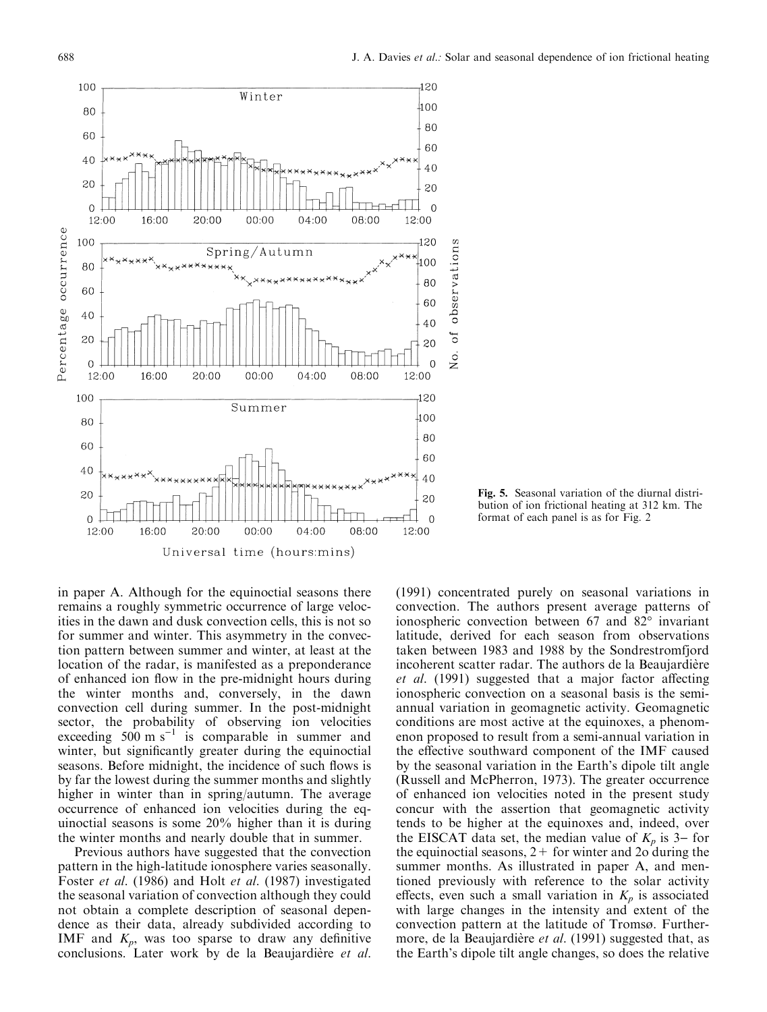

in paper A. Although for the equinoctial seasons there remains a roughly symmetric occurrence of large velocities in the dawn and dusk convection cells, this is not so for summer and winter. This asymmetry in the convection pattern between summer and winter, at least at the location of the radar, is manifested as a preponderance of enhanced ion flow in the pre-midnight hours during the winter months and, conversely, in the dawn convection cell during summer. In the post-midnight sector, the probability of observing ion velocities exceeding  $500 \text{ m s}^{-1}$  is comparable in summer and winter, but significantly greater during the equinoctial seasons. Before midnight, the incidence of such flows is by far the lowest during the summer months and slightly higher in winter than in spring/autumn. The average occurrence of enhanced ion velocities during the equinoctial seasons is some 20% higher than it is during the winter months and nearly double that in summer.

Previous authors have suggested that the convection pattern in the high-latitude ionosphere varies seasonally. Foster et al. (1986) and Holt et al. (1987) investigated the seasonal variation of convection although they could not obtain a complete description of seasonal dependence as their data, already subdivided according to IMF and  $K_p$ , was too sparse to draw any definitive conclusions. Later work by de la Beaujardière et al.

Fig. 5. Seasonal variation of the diurnal distribution of ion frictional heating at 312 km. The format of each panel is as for Fig. 2

(1991) concentrated purely on seasonal variations in convection. The authors present average patterns of ionospheric convection between 67 and 82° invariant latitude, derived for each season from observations taken between 1983 and 1988 by the Sondrestromfjord incoherent scatter radar. The authors de la Beaujardière et al. (1991) suggested that a major factor affecting ionospheric convection on a seasonal basis is the semiannual variation in geomagnetic activity. Geomagnetic conditions are most active at the equinoxes, a phenomenon proposed to result from a semi-annual variation in the effective southward component of the IMF caused by the seasonal variation in the Earth's dipole tilt angle (Russell and McPherron, 1973). The greater occurrence of enhanced ion velocities noted in the present study concur with the assertion that geomagnetic activity tends to be higher at the equinoxes and, indeed, over the EISCAT data set, the median value of  $K_p$  is 3– for the equinoctial seasons,  $2+$  for winter and 2o during the summer months. As illustrated in paper A, and mentioned previously with reference to the solar activity effects, even such a small variation in  $K_p$  is associated with large changes in the intensity and extent of the convection pattern at the latitude of Tromsø. Furthermore, de la Beaujardière et al. (1991) suggested that, as the Earth's dipole tilt angle changes, so does the relative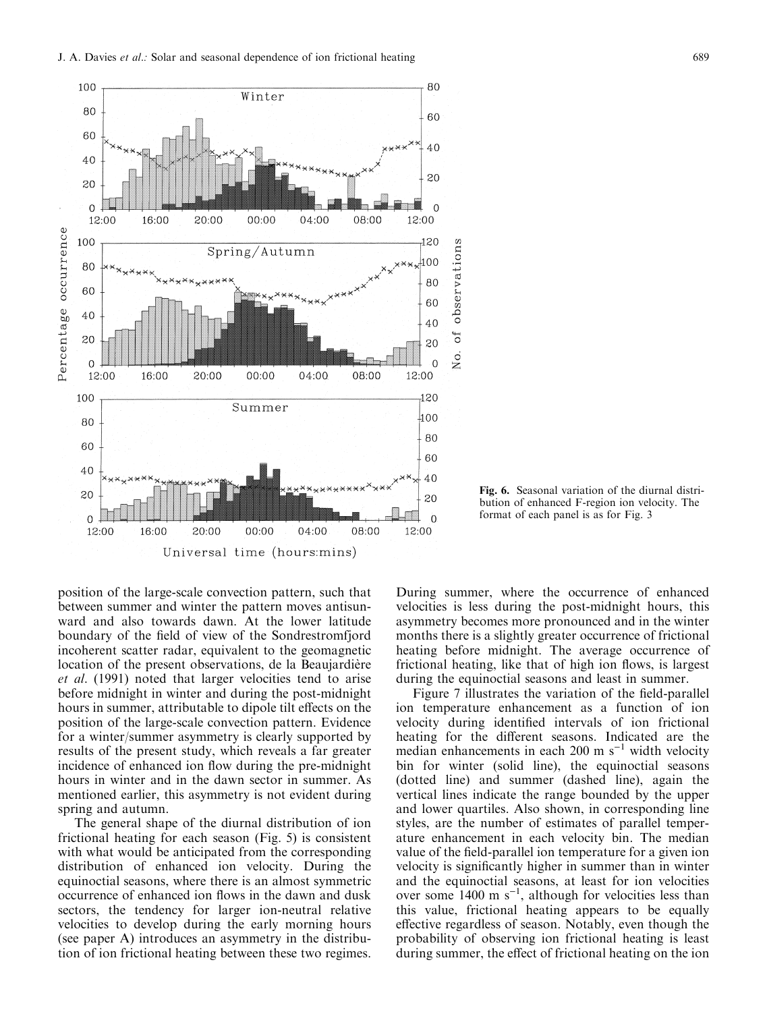

position of the large-scale convection pattern, such that between summer and winter the pattern moves antisunward and also towards dawn. At the lower latitude boundary of the field of view of the Sondrestromfjord incoherent scatter radar, equivalent to the geomagnetic location of the present observations, de la Beaujardière et al. (1991) noted that larger velocities tend to arise before midnight in winter and during the post-midnight hours in summer, attributable to dipole tilt effects on the position of the large-scale convection pattern. Evidence for a winter/summer asymmetry is clearly supported by results of the present study, which reveals a far greater incidence of enhanced ion flow during the pre-midnight hours in winter and in the dawn sector in summer. As mentioned earlier, this asymmetry is not evident during spring and autumn.

The general shape of the diurnal distribution of ion frictional heating for each season (Fig. 5) is consistent with what would be anticipated from the corresponding distribution of enhanced ion velocity. During the equinoctial seasons, where there is an almost symmetric occurrence of enhanced ion flows in the dawn and dusk sectors, the tendency for larger ion-neutral relative velocities to develop during the early morning hours (see paper A) introduces an asymmetry in the distribution of ion frictional heating between these two regimes.

Fig. 6. Seasonal variation of the diurnal distribution of enhanced F-region ion velocity. The format of each panel is as for Fig. 3

During summer, where the occurrence of enhanced velocities is less during the post-midnight hours, this asymmetry becomes more pronounced and in the winter months there is a slightly greater occurrence of frictional heating before midnight. The average occurrence of frictional heating, like that of high ion flows, is largest during the equinoctial seasons and least in summer.

Figure 7 illustrates the variation of the field-parallel ion temperature enhancement as a function of ion velocity during identified intervals of ion frictional heating for the different seasons. Indicated are the median enhancements in each 200 m  $s^{-1}$  width velocity bin for winter (solid line), the equinoctial seasons (dotted line) and summer (dashed line), again the vertical lines indicate the range bounded by the upper and lower quartiles. Also shown, in corresponding line styles, are the number of estimates of parallel temperature enhancement in each velocity bin. The median value of the field-parallel ion temperature for a given ion velocity is significantly higher in summer than in winter and the equinoctial seasons, at least for ion velocities over some  $1400 \text{ m s}^{-1}$ , although for velocities less than this value, frictional heating appears to be equally effective regardless of season. Notably, even though the probability of observing ion frictional heating is least during summer, the effect of frictional heating on the ion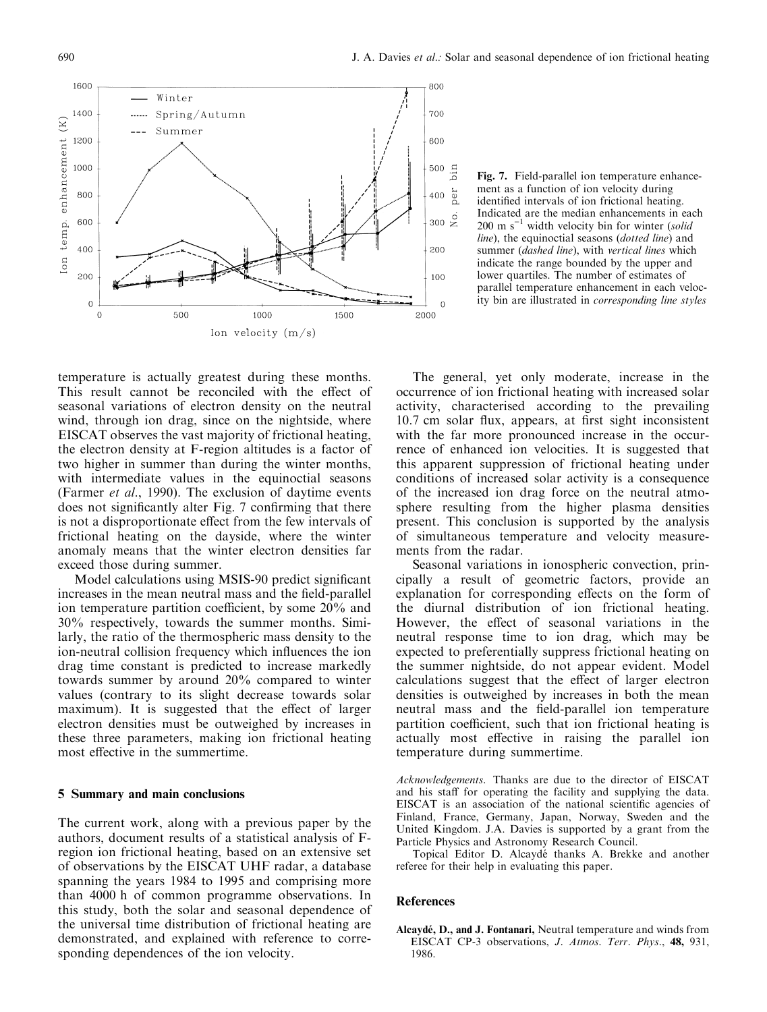

Fig. 7. Field-parallel ion temperature enhancement as a function of ion velocity during identified intervals of ion frictional heating. Indicated are the median enhancements in each  $200 \text{ m s}^{-1}$  width velocity bin for winter (solid line), the equinoctial seasons (dotted line) and summer (dashed line), with vertical lines which indicate the range bounded by the upper and lower quartiles. The number of estimates of parallel temperature enhancement in each velocity bin are illustrated in corresponding line styles

temperature is actually greatest during these months. This result cannot be reconciled with the effect of seasonal variations of electron density on the neutral wind, through ion drag, since on the nightside, where EISCAT observes the vast majority of frictional heating, the electron density at F-region altitudes is a factor of two higher in summer than during the winter months, with intermediate values in the equinoctial seasons (Farmer et al., 1990). The exclusion of daytime events does not significantly alter Fig. 7 confirming that there is not a disproportionate effect from the few intervals of frictional heating on the dayside, where the winter anomaly means that the winter electron densities far exceed those during summer.

Model calculations using MSIS-90 predict significant increases in the mean neutral mass and the field-parallel ion temperature partition coefficient, by some  $20\%$  and 30% respectively, towards the summer months. Similarly, the ratio of the thermospheric mass density to the ion-neutral collision frequency which influences the ion drag time constant is predicted to increase markedly towards summer by around 20% compared to winter values (contrary to its slight decrease towards solar maximum). It is suggested that the effect of larger electron densities must be outweighed by increases in these three parameters, making ion frictional heating most effective in the summertime.

## 5 Summary and main conclusions

The current work, along with a previous paper by the authors, document results of a statistical analysis of Fregion ion frictional heating, based on an extensive set of observations by the EISCAT UHF radar, a database spanning the years 1984 to 1995 and comprising more than 4000 h of common programme observations. In this study, both the solar and seasonal dependence of the universal time distribution of frictional heating are demonstrated, and explained with reference to corresponding dependences of the ion velocity.

The general, yet only moderate, increase in the occurrence of ion frictional heating with increased solar activity, characterised according to the prevailing 10.7 cm solar flux, appears, at first sight inconsistent with the far more pronounced increase in the occurrence of enhanced ion velocities. It is suggested that this apparent suppression of frictional heating under conditions of increased solar activity is a consequence of the increased ion drag force on the neutral atmosphere resulting from the higher plasma densities present. This conclusion is supported by the analysis of simultaneous temperature and velocity measurements from the radar.

Seasonal variations in ionospheric convection, principally a result of geometric factors, provide an explanation for corresponding effects on the form of the diurnal distribution of ion frictional heating. However, the effect of seasonal variations in the neutral response time to ion drag, which may be expected to preferentially suppress frictional heating on the summer nightside, do not appear evident. Model calculations suggest that the effect of larger electron densities is outweighed by increases in both the mean neutral mass and the field-parallel ion temperature partition coefficient, such that ion frictional heating is actually most effective in raising the parallel ion temperature during summertime.

Acknowledgements. Thanks are due to the director of EISCAT and his staff for operating the facility and supplying the data. EISCAT is an association of the national scientific agencies of Finland, France, Germany, Japan, Norway, Sweden and the United Kingdom. J.A. Davies is supported by a grant from the Particle Physics and Astronomy Research Council.

Topical Editor D. Alcaydé thanks A. Brekke and another referee for their help in evaluating this paper.

#### **References**

Alcaydé, D., and J. Fontanari, Neutral temperature and winds from EISCAT CP-3 observations, J. Atmos. Terr. Phys., 48, 931, 1986.